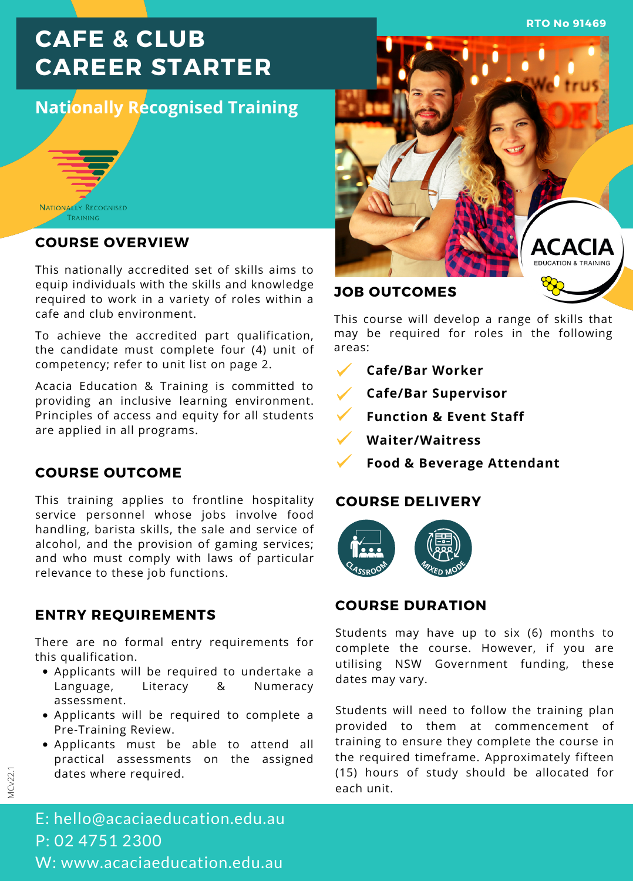**RTO No 91469**

# **CAFE & CLUB CAREER STARTER**

## **Nationally Recognised Training**



#### **COURSE OVERVIEW**

This nationally accredited set of skills aims to equip individuals with the skills and knowledge required to work in a variety of roles within a cafe and club environment.

To achieve the accredited part qualification, the candidate must complete four (4) unit of competency; refer to unit list on page 2.

Acacia Education & Training is committed to providing an inclusive learning environment. Principles of access and equity for all students are applied in all programs.

#### **COURSE OUTCOME**

This training applies to frontline hospitality service personnel whose jobs involve food handling, barista skills, the sale and service of alcohol, and the provision of gaming services; and who must comply with laws of particular relevance to these job functions.

## **ENTRY REQUIREMENTS**

There are no formal entry requirements for this qualification.

- Applicants will be required to undertake a Language, Literacy & Numeracy assessment.
- Applicants will be required to complete a Pre-Training Review.
- Applicants must be able to attend all practical assessments on the assigned dates where required.



This course will develop a range of skills that may be required for roles in the following areas:

- **Cafe/Bar Worker**
- **Cafe/Bar Supervisor**
- **Function & Event Staff**
- **Waiter/Waitress**
	- **Food & Beverage Attendant**

#### **COURSE DELIVERY**



## **COURSE DURATION**

Students may have up to six (6) months to complete the course. However, if you are utilising NSW Government funding, these dates may vary.

Students will need to follow the training plan provided to them at commencement of training to ensure they complete the course in the required timeframe. Approximately fifteen (15) hours of study should be allocated for each unit.

E: hello@acaciaeducation.edu.au P: 02 4751 2300 W: www.acaciaeducation.edu.au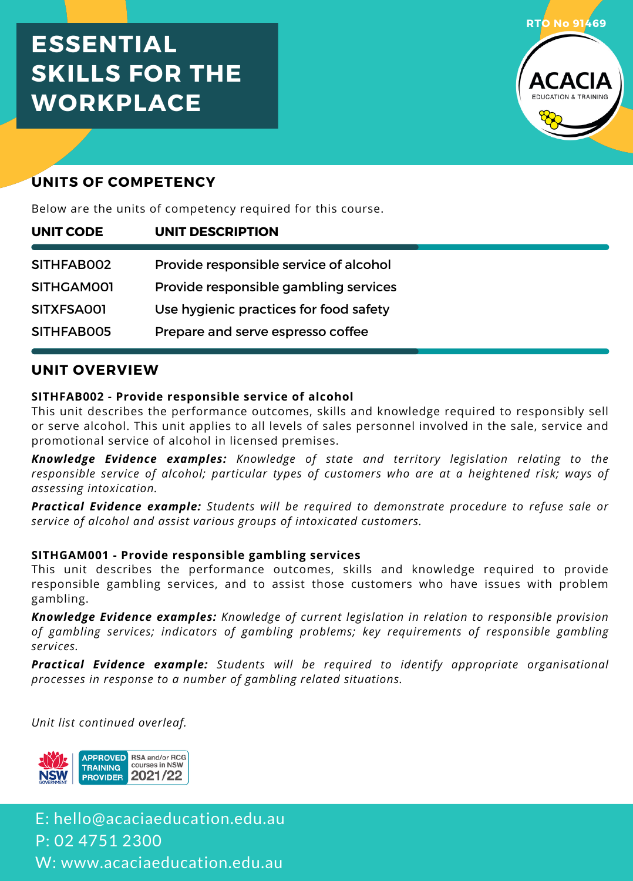# **ESSENTIAL SKILLS FOR THE WORKPLACE**



## **UNITS OF COMPETENCY**

Below are the units of competency required for this course.

| UNIT CODE  | UNIT DESCRIPTION                       |  |
|------------|----------------------------------------|--|
| SITHFAB002 | Provide responsible service of alcohol |  |
| SITHGAM001 | Provide responsible gambling services  |  |
| SITXFSA001 | Use hygienic practices for food safety |  |
| SITHFABO05 | Prepare and serve espresso coffee      |  |

## **UNIT OVERVIEW**

#### **SITHFAB002 - Provide responsible service of alcohol**

This unit describes the performance outcomes, skills and knowledge required to responsibly sell or serve alcohol. This unit applies to all levels of sales personnel involved in the sale, service and promotional service of alcohol in licensed premises.

*Knowledge Evidence examples: Knowledge of state and territory legislation relating to the responsible service of alcohol; particular types of customers who are at a heightened risk; ways of assessing intoxication.*

*Practical Evidence example: Students will be required to demonstrate procedure to refuse sale or service of alcohol and assist various groups of intoxicated customers.*

#### **SITHGAM001 - Provide responsible gambling services**

This unit describes the performance outcomes, skills and knowledge required to provide responsible gambling services, and to assist those customers who have issues with problem gambling.

*Knowledge Evidence examples: Knowledge of current legislation in relation to responsible provision of gambling services; indicators of gambling problems; key requirements of responsible gambling services.*

*Practical Evidence example: Students will be required to identify appropriate organisational processes in response to a number of gambling related situations.*

*Unit list continued overleaf.*



E: hello@acaciaeducation.edu.au P: 02 4751 2300 W: www.acaciaeducation.edu.au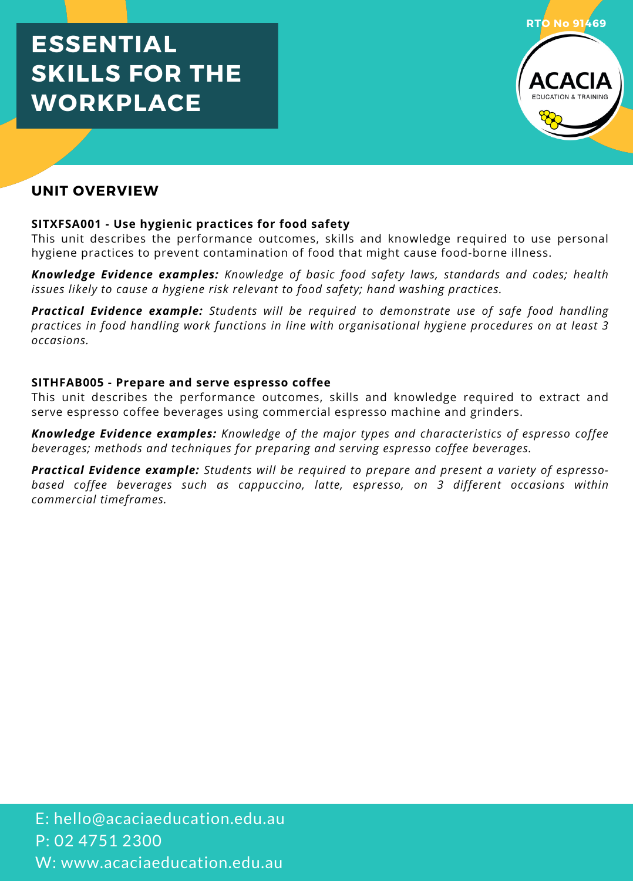# **ESSENTIAL SKILLS FOR THE WORKPLACE**



## **UNIT OVERVIEW**

#### **SITXFSA001 - Use hygienic practices for food safety**

This unit describes the performance outcomes, skills and knowledge required to use personal hygiene practices to prevent contamination of food that might cause food-borne illness.

*Knowledge Evidence examples: Knowledge of basic food safety laws, standards and codes; health issues likely to cause a hygiene risk relevant to food safety; hand washing practices.*

*Practical Evidence example: Students will be required to demonstrate use of safe food handling practices in food handling work functions in line with organisational hygiene procedures on at least 3 occasions.*

#### **SITHFAB005 - Prepare and serve espresso coffee**

This unit describes the performance outcomes, skills and knowledge required to extract and serve espresso coffee beverages using commercial espresso machine and grinders.

*Knowledge Evidence examples: Knowledge of the major types and characteristics of espresso coffee beverages; methods and techniques for preparing and serving espresso coffee beverages.*

*Practical Evidence example: Students will be required to prepare and present a variety of espresso based coffee beverages such as cappuccino, latte, espresso, on 3 different occasions within commercial timeframes.*